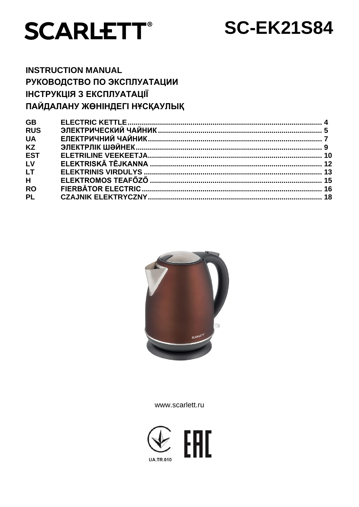

# **SC-EK21S84**

# **INSTRUCTION MANUAL** РУКОВОДСТВО ПО ЭКСПЛУАТАЦИИ ІНСТРУКЦІЯ З ЕКСПЛУАТАЦІЇ ПАЙДАЛАНУ ЖӨНІНДЕГІ НҰСҚАУЛЫҚ

| <b>GB</b>  |  |
|------------|--|
| <b>RUS</b> |  |
| <b>UA</b>  |  |
| <b>KZ</b>  |  |
| <b>EST</b> |  |
| LV         |  |
| <b>LT</b>  |  |
| H          |  |
| <b>RO</b>  |  |
| <b>PL</b>  |  |
|            |  |



www.scarlett.ru

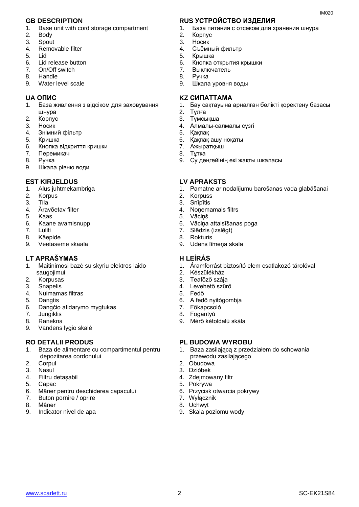- 1. Base unit with cord storage compartment
- 2. Body
- 3. Spout
- 4. Removable filter
- 5. Lid
- 6. Lid release button
- 7. On/Off switch
- 8. Handle
- 9. Water level scale

- 1. База живлення з відсіком для заховування шнура
- 2. Корпус
- 3. Носик
- 4. Знiмний фільтр
- 5. Кришка
- 6. Кнопка відкриття кришки
- 7. Перемикач
- 8. Ручка
- 9. Шкала рівню води

#### **EST KIRJELDUS LV APRAKSTS**

- 1. Alus juhtmekambriga
- 2. Korpus
- 3. Tila
- 4. Äravõetav filter
- 5. Kaas
- 6. Kaane avamisnupp
- 7. Lüliti
- 8. Käepide
- 9. Veetaseme skaala

### **LT APRAŠYMAS H LEÍRÁS**

- 1. Maitinimosi bazė su skyriu elektros laido saugojimui
- 2. Korpusas
- 3. Snapelis
- 4. Nuimamas filtras
- 5. Dangtis
- 6. Dangčio atidarymo mygtukas
- 7. Jungiklis
- 8. Ranekna
- 9. Vandens lygio skalė

- 1. Baza de alimentare cu compartimentul pentru depozitarea cordonului
- 2. Corpul
- 3. Nasul
- 4. Filtru detașabil
- 5. Capac
- 6. Mâner pentru deschiderea capacului
- 7. Buton pornire / oprire
- 8. Mâner
- 9. Indicator nivel de apa

#### **GB DESCRIPTION RUS УСТРОЙСТВО ИЗДЕЛИЯ**

1. База питания с отсеком для хранения шнура

IM020

- 2. Корпус
- 3. Носик
- 4. Съёмный фильтр
- 5. Крышка
- 6. Кнопка открытия крышки
- 7. Выключатель
- 8. Ручка
- 9. Шкала уровня воды

#### **UA ОПИС KZ СИПАТТАМА**

- 1. Бау сақтауына арналған бөлікті қоректену базасы
- 
- 2. Тұлға Тұмсықша
- 4. Алмалы-салмалы сүзгі
- 5. Қақпақ
- 6. Қақпақ ашу ноқаты
- 7. Ажыратқыш
- 8. Тұтқа
- 9. Су деңгейінің екі жақты шкаласы

- 1. Pamatne ar nodalījumu barošanas vada glabāšanai
- 2. Korpuss
- 3. Snīpītis
- 4. Noņemamais filtrs
- 5. Vāciņš
- 6. Vāciņa attaisīšanas poga
- 7. Slēdzis (izslēgt)
- 8. Rokturis
- 9. Udens līmeņa skala

- 1. Áramforrást biztosító elem csatlakozó tárolóval
- 2. Készülékház
- 3. Teafőző szája
- 4. Levehető szűrő
- 5. Fedő
- 6. A fedő nyitógombja
- 7. Főkapcsoló
- 8. Fogantyú
- 9. Mérő kétoldalú skála

#### **RO DETALII PRODUS PL BUDOWA WYROBU**

- 1. Baza zasilającą z przedziałem do schowania przewodu zasilającego
- 2. Obudowa
- 3. Dzióbek
- 4. Zdejmowany filtr
- 5. Pokrywa
- 6. Przycisk otwarcia pokrywy
- 7. Wyłącznik
- 8. Uchwyt

[www.scarlett.ru](http://www.scarlett.ru/) 2 2 SC-EK21S84

9. Skala poziomu wody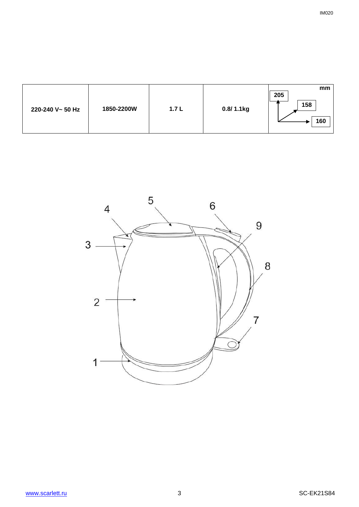| 220-240 V~ 50 Hz | 1850-2200W | 1.7L | 0.8/1.1kg | mm<br>205<br>158<br>160 |
|------------------|------------|------|-----------|-------------------------|
|                  |            |      |           |                         |



IM020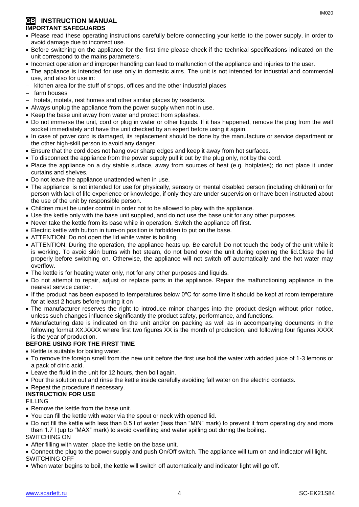#### **GB INSTRUCTION MANUAL IMPORTANT SAFEGUARDS**

- Please read these operating instructions carefully before connecting your kettle to the power supply, in order to avoid damage due to incorrect use.
- Before switching on the appliance for the first time please check if the technical specifications indicated on the unit correspond to the mains parameters.
- Incorrect operation and improper handling can lead to malfunction of the appliance and injuries to the user.
- The appliance is intended for use only in domestic aims. The unit is not intended for industrial and commercial use, and also for use in:
- kitchen area for the stuff of shops, offices and the other industrial places
- farm houses
- hotels, motels, rest homes and other similar places by residents.
- Always unplug the appliance from the power supply when not in use.
- Keep the base unit away from water and protect from splashes.
- Do not immerse the unit, cord or plug in water or other liquids. If it has happened, remove the plug from the wall socket immediately and have the unit checked by an expert before using it again.
- In case of power cord is damaged, its replacement should be done by the manufacture or service department or the other high-skill person to avoid any danger.
- Ensure that the cord does not hang over sharp edges and keep it away from hot surfaces.
- To disconnect the appliance from the power supply pull it out by the plug only, not by the cord.
- Place the appliance on a dry stable surface, away from sources of heat (e.g. hotplates); do not place it under curtains and shelves.
- Do not leave the appliance unattended when in use.
- The appliance is not intended for use for [physically, sensory or mental disabled](https://www.multitran.ru/c/m.exe?t=5841801_1_2&s1=%F7%E5%EB%EE%E2%E5%EA%20%F1%20%EE%E3%F0%E0%ED%E8%F7%E5%ED%ED%FB%EC%E8%20%E2%EE%E7%EC%EE%E6%ED%EE%F1%F2%FF%EC%E8) person (including children) or for person with lack of life experience or knowledge, if only they are under supervision or have been instructed about the use of the unit by responsible person.
- Children must be under control in order not to be allowed to play with the appliance.
- Use the kettle only with the base unit supplied, and do not use the base unit for any other purposes.
- Never take the kettle from its base while in operation. Switch the appliance off first.
- Electric kettle with button in turn-on position is forbidden to put on the base.
- ATTENTION: Do not open the lid while water is boiling.
- ATTENTION: During the operation, the appliance heats up. Be careful! Do not touch the body of the unit while it is working. To avoid skin burns with hot steam, do not bend over the unit during opening the lid.Close the lid properly before switching on. Otherwise, the appliance will not switch off automatically and the hot water may overflow.
- The kettle is for heating water only, not for any other purposes and liquids.
- Do not attempt to repair, adjust or replace parts in the appliance. Repair the malfunctioning appliance in the nearest service center.
- If the product has been exposed to temperatures below 0ºC for some time it should be kept at room temperature for at least 2 hours before turning it on
- The manufacturer reserves the right to introduce minor changes into the product design without prior notice, unless such changes influence significantly the product safety, performance, and functions.
- Manufacturing date is indicated on the unit and/or on packing as well as in accompanying documents in the following format XX.XXXX where first two figures XX is the month of production, and following four figures XXXX is the year of production.

### **BEFORE USING FOR THE FIRST TIME**

- Kettle is suitable for boiling water.
- To remove the foreign smell from the new unit before the first use boil the water with added juice of 1-3 lemons or a pack of citric acid.
- Leave the fluid in the unit for 12 hours, then boil again.
- Pour the solution out and rinse the kettle inside carefully avoiding fall water on the electric contacts.
- Repeat the procedure if necessary.

### **INSTRUCTION FOR USE**

FILLING

- Remove the kettle from the base unit.
- You can fill the kettle with water via the spout or neck with opened lid.
- Do not fill the kettle with less than 0.5 l of water (less than "MIN" mark) to prevent it from operating dry and more than 1.7 l (up to "MAX" mark) to avoid overfilling and water spilling out during the boiling. SWITCHING ON
- After filling with water, place the kettle on the base unit.
- Connect the plug to the power supply and push On/Off switch. The appliance will turn on and indicator will light. SWITCHING OFF
- When water begins to boil, the kettle will switch off automatically and indicator light will go off.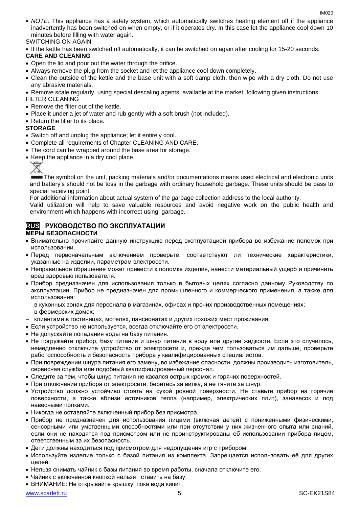- *NOTE:* This appliance has a safety system, which automatically switches heating element off if the appliance inadvertently has been switched on when empty, or if it operates dry. In this case let the appliance cool down 10 minutes before filling with water again. SWITCHING ON AGAIN
- If the kettle has been switched off automatically, it can be switched on again after cooling for 15-20 seconds.

#### **CARE AND CLEANING**

- Open the lid and pour out the water through the orifice.
- Always remove the plug from the socket and let the appliance cool down completely.
- Clean the outside of the kettle and the base unit with a soft damp cloth, then wipe with a dry cloth. Do not use any abrasive materials.
- Remove scale regularly, using special descaling agents, available at the market, following given instructions.

FILTER CLEANING

- Remove the filter out of the kettle.
- Place it under a jet of water and rub gently with a soft brush (not included).
- Return the filter to its place.

#### **STORAGE**

- Switch off and unplug the appliance; let it entirely cool.
- Complete all requirements of Chapter CLEANING AND CARE.
- The cord can be wrapped around the base area for storage.
- Keep the appliance in a dry cool place.



The symbol on the unit, packing materials and/or documentations means used electrical and electronic units and battery's should not be toss in the garbage with ordinary household garbage. These units should be pass to special receiving point.

For additional information about actual system of the garbage collection address to the local authority.

Valid utilization will help to save valuable resources and avoid negative work on the public health and environment which happens with incorrect using garbage.

# **RUS РУКОВОДСТВО ПО ЭКСПЛУАТАЦИИ**

#### **МЕРЫ БЕЗОПАСНОСТИ**

- Внимательно прочитайте данную инструкцию перед эксплуатацией прибора во избежание поломок при использовании.
- Перед первоначальным включением проверьте, соответствуют ли технические характеристики, указанные на изделии, параметрам электросети.
- Неправильное обращение может привести к поломке изделия, нанести материальный ущерб и причинить вред здоровью пользователя.
- Прибор предназначен для использования только в бытовых целях согласно данному Руководству по эксплуатации. Прибор не предназначен для промышленного и коммерческого применения, а также для использования:
- в кухонных зонах для персонала в магазинах, офисах и прочих производственных помещениях;
- в фермерских домах;
- клиентами в гостиницах, мотелях, пансионатах и других похожих мест проживания.
- Если устройство не используется, всегда отключайте его от электросети.
- Не допускайте попадания воды на базу питания.
- Не погружайте прибор, базу питания и шнур питания в воду или другие жидкости. Если это случилось, немедленно отключите устройство от электросети и, прежде чем пользоваться им дальше, проверьте работоспособность и безопасность прибора у квалифицированных специалистов.
- При повреждении шнура питания его замену, во избежание опасности, должны производить изготовитель, сервисная служба или подобный квалифицированный персонал.
- Следите за тем, чтобы шнур питания не касался острых кромок и горячих поверхностей.
- При отключении прибора от электросети, беритесь за вилку, а не тяните за шнур.
- Устройство должно устойчиво стоять на сухой ровной поверхности. Не ставьте прибор на горячие поверхности, а также вблизи источников тепла (например, электрических плит), занавесок и под навесными полками.
- Никогда не оставляйте включенный прибор без присмотра.
- Прибор не предназначен для использования лицами (включая детей) с пониженными физическими, сенсорными или умственными способностями или при отсутствии у них жизненного опыта или знаний, если они не находятся под присмотром или не проинструктированы об использовании прибора лицом, ответственным за их безопасность.
- Дети должны находиться под присмотром для недопущения игр с прибором.
- Используйте изделие только с базой питания из комплекта. Запрещается использовать её для других целей.
- Нельзя снимать чайник с базы питания во время работы, сначала отключите его.
- Чайник с включенной кнопкой нельзя ставить на базу.
- ВНИМАНИЕ: Не открывайте крышку, пока вода кипит.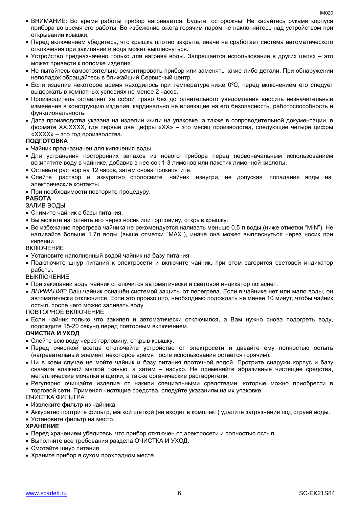- ВНИМАНИЕ: Во время работы прибор нагревается. Будьте осторожны! Не касайтесь руками корпуса прибора во время его работы. Во избежание ожога горячим паром не наклоняйтесь над устройством при открывании крышки.
- Перед включением убедитесь, что крышка плотно закрыта, иначе не сработает система автоматического отключения при закипании и вода может выплеснуться.
- Устройство предназначено только для нагрева воды. Запрещается использование в других целях это может привести к поломке изделия.
- Не пытайтесь самостоятельно ремонтировать прибор или заменять какие-либо детали. При обнаружении неполадок обращайтесь в ближайший Сервисный центр.
- Если изделие некоторое время находилось при температуре ниже 0ºC, перед включением его следует выдержать в комнатных условиях не менее 2 часов.
- Производитель оставляет за собой право без дополнительного уведомления вносить незначительные изменения в конструкцию изделия, кардинально не влияющие на его безопасность, работоспособность и функциональность.
- Дата производства указана на изделии и/или на упаковке, а также в сопроводительной документации, в формате XX.XXXX, где первые две цифры «XX» – это месяц производства, следующие четыре цифры «XXXX» – это год производства.

#### **ПОДГОТОВКА**

- Чайник предназначен для кипячения воды.
- Для устранения посторонних запахов из нового прибора перед первоначальным использованием вскипятите воду в чайнике, добавив в нее сок 1-3 лимонов или пакетик лимонной кислоты.
- Оставьте раствор на 12 часов, затем снова прокипятите.
- Слейте раствор и аккуратно сполосните чайник изнутри, не допуская попадания воды на электрические контакты.
- При необходимости повторите процедуру.

#### **РАБОТА**

#### ЗАЛИВ ВОДЫ

- Снимите чайник с базы питания.
- Вы можете наполнить его через носик или горловину, открыв крышку.
- Во избежание перегрева чайника не рекомендуется наливать меньше 0.5 л воды (ниже отметки "MIN"). Не наливайте больше 1.7л воды (выше отметки "MAX"), иначе она может выплеснуться через носик при кипении.

#### ВКЛЮЧЕНИЕ

- Установите наполненный водой чайник на базу питания.
- Подключите шнур питания к электросети и включите чайник, при этом загорится световой индикатор работы.

#### ВЫКЛЮЧЕНИЕ

- При закипании воды чайник отключится автоматически и световой индикатор погаснет.
- *ВНИМАНИЕ:* Ваш чайник оснащён системой защиты от перегрева. Если в чайнике нет или мало воды, он автоматически отключится. Если это произошло, необходимо подождать не менее 10 минут, чтобы чайник остыл, после чего можно заливать воду.

#### ПОВТОРНОЕ ВКЛЮЧЕНИЕ

 Если чайник только что закипел и автоматически отключился, а Вам нужно снова подогреть воду, подождите 15-20 секунд перед повторным включением.

#### **ОЧИСТКА И УХОД**

- Слейте всю воду через горловину, открыв крышку.
- Перед очисткой всегда отключайте устройство от электросети и давайте ему полностью остыть (нагревательный элемент некоторое время после использования остается горячим).
- Ни в коем случае не мойте чайник и базу питания проточной водой. Протрите снаружи корпус и базу сначала влажной мягкой тканью, а затем – насухо. Не применяйте абразивные чистящие средства, металлические мочалки и щётки, а также органические растворители.
- Регулярно очищайте изделие от накипи специальными средствами, которые можно приобрести в торговой сети. Применяя чистящие средства, следуйте указаниям на их упаковке.

ОЧИСТКА ФИЛЬТРА

- Извлеките фильтр из чайника.
- Аккуратно протрите фильтр, мягкой щёткой (не входит в комплект) удалите загрязнения под струёй воды.
- Установите фильтр на место.

#### **ХРАНЕНИЕ**

- Перед хранением убедитесь, что прибор отключен от электросети и полностью остыл.
- Выполните все требования раздела ОЧИСТКА И УХОД.
- Смотайте шнур питания.
- Храните прибор в сухом прохладном месте.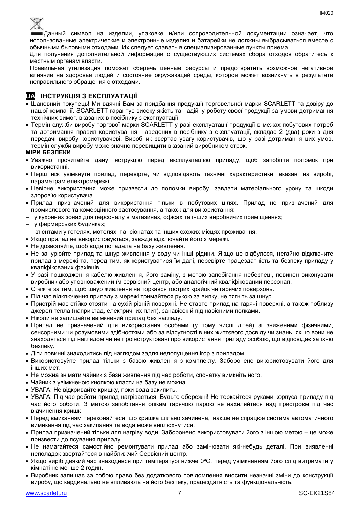

Данный символ на изделии, упаковке и/или сопроводительной документации означает, что использованные электрические и электронные изделия и батарейки не должны выбрасываться вместе с обычными бытовыми отходами. Их следует сдавать в специализированные пункты приема.

Для получения дополнительной информации о существующих системах сбора отходов обратитесь к местным органам власти.

Правильная утилизация поможет сберечь ценные ресурсы и предотвратить возможное негативное влияние на здоровье людей и состояние окружающей среды, которое может возникнуть в результате неправильного обращения с отходами.

### **UA ІНСТРУКЦІЯ З ЕКСПЛУАТАЦІЇ**

- Шановний покупець! Ми вдячні Вам за придбання продукції торговельної марки SCARLETT та довіру до нашої компанії. SCARLETT гарантує високу якість та надійну роботу своєї продукції за умови дотримання технічних вимог, вказаних в посібнику з експлуатації.
- Термін служби виробу торгової марки SCARLETT у разі експлуатації продукції в межах побутових потреб та дотримання правил користування, наведених в посібнику з експлуатації, складає 2 (два) роки з дня передачі виробу користувачеві. Виробник звертає увагу користувачів, що у разі дотримання цих умов, термін служби виробу може значно перевищити вказаний виробником строк.

#### **МІРИ БЕЗПЕКИ**

- Уважно прочитайте дану інструкцію перед експлуатацією приладу, щоб запобігти поломок при використанні.
- Перш ніж увімкнути прилад, перевірте, чи відповідають технічні характеристики, вказані на виробі, параметрам електромережі.
- Невiрне використання може призвести до поломки виробу, завдати матеріального урону та шкоди здоров'ю користувача.
- Прилад призначений для використання тільки в побутових цілях. Прилад не призначений для промислового та комерційного застосування, а також для використання:
- у кухонних зонах для персоналу в магазинах, офісах та інших виробничих приміщеннях;
- у фермерських будинках;
- клієнтами у готелях, мотелях, пансіонатах та інших схожих місцях проживання.
- Якщо прилад не використовується, завжди відключайте його з мережі.
- Не дозволяйте, щоб вода попадала на базу живлення.
- Не занурюйте прилад та шнур живлення у воду чи інші рідини. Якщо це відбулося, негайно відключите прилад з мережі та, перед тим, як користуватися їм далі, перевірте працездатність та безпеку приладу у кваліфікованих фахівців.
- У разі пошкодження кабелю живлення, його заміну, з метою запобігання небезпеці, повинен виконувати виробник або уповноважений їм сервісний центр, або аналогічний кваліфікований персонал.
- Стежте за тим, щоб шнур живлення не торкався гострих крайок чи гарячих поверхонь.
- Пiд час відключення приладу з мережі тримайтеся рукою за вилку, не тягніть за шнур.
- Пристрій має стійко стояти на сухій рiвній поверхні. Не ставте прилад на гарячі поверхні, а також поблизу джерел тепла (наприклад, електричних плит), занавісок й під навісними полками.
- Ніколи не залишайте ввімкнений прилад без нагляду.
- Прилад не призначений для використання особами (у тому числі дітей) зі зниженими фізичними, сенсорними чи розумовими здібностями або за відсутності в них життєвого досвіду чи знань, якщо вони не знаходяться під наглядом чи не проінструктовані про використання приладу особою, що відповідає за їхню безпеку.
- Діти повинні знаходитись під наглядом задля недопущення ігор з приладом.
- Використовуйте прилад тільки з базою живлення з комплекту. Заборонено використовувати його для iнших мет.
- Не можна знімати чайник з бази живлення пiд час роботи, спочатку вимкніть його.
- Чайник з увімкненою кнопкою класти на базу не можна
- УВАГА: Не відкривайте кришку, поки вода закипить.
- УВАГА: Під час роботи прилад нагрівається. Будьте обережні! Не торкайтеся руками корпуса приладу під час його роботи. З метою запобігання опікам гарячою парою не нахиляйтеся над пристроєм під час відчинення кришк
- Перед вмиканням переконайтеся, що кришка щільно зачинена, інакше не спрацюе система автоматичного вимикання пiд час закипання та вода може виплюхнутися.
- Прилад призначений тільки для нагріву води. Заборонено використовувати його з іншою метою це може призвести до псування приладу.
- Не намагайтеся самостійно ремонтувати прилад або замінювати які-небудь деталі. При виявленні неполадок звертайтеся в найближчий Сервісний центр.
- Якщо виріб деякий час знаходився при температурі нижче 0ºC, перед увімкненням його слід витримати у кімнаті не менше 2 годин.
- Виробник залишає за собою право без додаткового повідомлення вносити незначні зміни до конструкції виробу, що кардинально не впливають на його безпеку, працездатність та функціональність.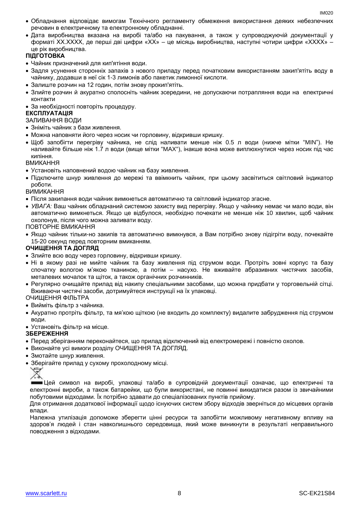- Обладнання відповідає вимогам Технічного регламенту обмеження використання деяких небезпечних речовин в електричному та електронному обладнанні.
- Дата виробництва вказана на виробі та/або на пакування, а також у супроводжуючій документації у форматі XX.XXXX, де перші дві цифри «XX» – це місяць виробництва, наступні чотири цифри «XXXX» – це рік виробництва.

#### **ПІДГОТОВКА**

- Чайник призначений для кип'ятіння води.
- Задля усунення сторонніх запахів з нового приладу перед початковим використанням закип'ятіть воду в чайнику, додавши в неї сік 1-3 лимонів або пакетик лимонної кислоти.
- Залиште розчин на 12 годин, потім знову прокип'ятіть.
- Злийте розчин й акуратно сполосніть чайник зсередини, не допускаючи потрапляння води на електричні контакти
- За необхідності повторіть процедуру.

#### **ЕКСПЛУАТАЦІЯ**

#### ЗАЛИВАННЯ ВОДИ

- Зніміть чайник з бази живлення.
- Можна наповняти його через носик чи горловину, відкривши кришку.
- Щоб запобігти перегріву чайника, не слiд наливати менше ніж 0.5 л води (нижче мітки "MIN"). Не наливайте більше ніж 1.7 л води (вище мітки "MAX"), інакше вона може виплюхнутися через носик пiд час кипіння.

#### ВМИКАННЯ

- Установіть наповнений водою чайник на базу живлення.
- Підключите шнур живлення до мережі та ввімкнить чайник, при цьому засвітиться світловий індикатор роботи.

#### ВИМИКАННЯ

- Після закипання води чайник вимкнеться автоматично та світловий індикатор згасне.
- *УВАГА:* Ваш чайник обладнаний системою захисту вид перегріву. Якщо у чайнику немає чи мало води, він автоматично вимкнеться. Якщо це відбулося, необхідно почекати не менше ніж 10 хвилин, щоб чайник охолонув, після чого можна заливати воду.

#### ПОВТОРНЕ ВМИКАННЯ

 Якщо чайник тільки-но закипів та автоматично вимкнувся, а Вам потрібно знову підігріти воду, почекайте 15-20 секунд перед повторним вмиканням.

#### **ОЧИЩЕННЯ ТА ДОГЛЯД**

- Злийте всю воду через горловину, відкривши кришку.
- Ні в якому разі не мийте чайник та базу живлення під струмом води. Протріть зовні корпус та базу спочатку вологою м'якою тканиною, а потім – насухо. Не вживайте абразивних чистячих засобів, металевих мочалок та щіток, а також органічних розчинників.
- Регулярно очищайте прилад від накипу спеціальними засобами, що можна придбати у торговельній сітці. Вживаючи чистячі засоби, дотримуйтеся инструкції на їх упаковці.

#### ОЧИЩЕННЯ ФІЛЬТРА

- Вийміть фільтр з чайника.
- Акуратно протріть фільтр, та мя'кою щіткою (не входить до комплекту) видалите забрудження під струмом води.

#### Установіть фільтр на місце.

#### **ЗБЕРЕЖЕННЯ**

- Перед зберіганням переконайтеся, що прилад відключений від електромережі і повністю охолов.
- Виконайте усі вимоги розділу ОЧИЩЕННЯ ТА ДОГЛЯД.
- Змотайте шнур живлення.
- Зберігайте прилад у сухому прохолодному місці.

Цей символ на виробі, упаковці та/або в супровідній документації означає, що електричні та електронні вироби, а також батарейки, що були використані, не повинні викидатися разом із звичайними побутовими відходами. Їх потрібно здавати до спеціалізованих пунктів прийому.

Для отримання додаткової інформації щодо існуючих систем збору відходів зверніться до місцевих органів влади.

Належна утилізація допоможе зберегти цінні ресурси та запобігти можливому негативному впливу на здоров'я людей і стан навколишнього середовища, який може виникнути в результаті неправильного поводження з відходами.

<sup>♦</sup>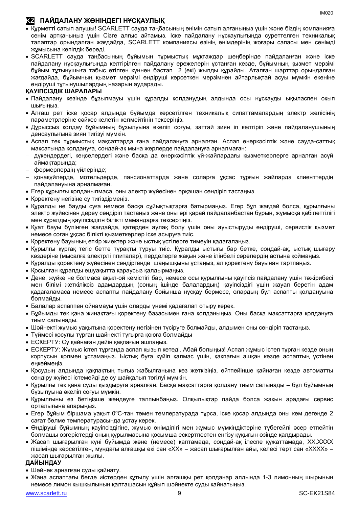### **KZ ПАЙДАЛАНУ ЖӨНІНДЕГІ НҰСҚАУЛЫҚ**

- Құрметті сатып алушы! SCARLETT сауда таңбасының өнімін сатып алғаныңыз үшін және біздің компанияға сенім артқаныңыз үшін Сізге алғыс айтамыз. Іске пайдалану нұсқаулығында суреттелген техникалық талаптар орындалған жағдайда, SCARLETT компаниясы өзінің өнімдерінің жоғары сапасы мен сенімді жұмысына кепілдік береді.
- SCARLETT сауда таңбасының бұйымын тұрмыстық мұқтаждар шеңберінде пайдаланған және іске пайдалану нұсқаулығында келтірілген пайдалану ережелерін ұстанған кезде, бұйымның қызмет мерзімі бұйым тұтынушыға табыс етілген күннен бастап 2 (екі) жылды құрайды. Аталған шарттар орындалған жағдайда, бұйымның қызмет мерзімі өндіруші көрсеткен мерзімнен айтарлықтай асуы мүмкін екеніне өндіруші тұтынушылардың назарын аударады.

#### **ҚАУІПСІЗДІК ШАРАЛАРЫ**

- Пайдалану кезінде бұзылмауы үшін құралды қолданудың алдында осы нұсқауды ықыласпен оқып шығыңыз.
- Алғаш рет іске қосар алдында бұйымда көрсетілген техникалық сипаттамалардың электр желісінің параметрлеріне сәйкес келетін-келмейтінін тексеріңіз.
- Дұрыссыз қолдау бұйымның бұзылуына әкеліп соғуы, заттай зиян іп келтіріп және пайдаланушының денсаулығына зиян тигізуі мүмкін.
- Аспап тек тұрмыстық мақсаттарда ғана пайдалануға арналған. Аспап өнеркәсіптік және сауда-саттық мақсатында қолдануға, сондай-ақ мына жерлерде пайдалануға арналмаған:
- дүкендердегі, кеңселердегі және басқа да өнеркәсіптік үй-жайлардағы қызметкерлерге арналған асүй аймақтарында;
- фермерлердің үйлерінде;
- қонақүйлерде, мотельдерде, пансионаттарда және соларға ұқсас тұрғын жайларда клиенттердің пайдалануына арналмаған.
- Егер құрылғы қолданылмаса, оны электр жүйесінен әрқашан сөндіріп тастаңыз.
- Қоректену негізіне су тигіздірмеңіз.
- Құралды не бауды суға немесе басқа сұйықтықтарға батырмаңыз. Егер бұл жағдай болса, құрылғыны электр жүйесінен дереу сөндіріп тастаңыз және оны әрі қарай пайдаланбастан бұрын, жұмысқа қабілеттілігі мен құралдың қауіпсіздігін білікті мамандарға тексертіңіз.
- Қуат бауы бүлінген жағдайда, қатерден аулақ болу үшін оны ауыстыруды өндіруші, сервистік қызмет немесе соған ұқсас білікті қызметкерлер іске асыруға тиіс.
- Қоректену бауының өткір жиектер және ыстық үстілерге тимеуін қадағалаңыз.
- Құрылғы құрғақ тегіс бетте тұрақты тұруы тиіс. Құралды ыстығы бар бетке, сондай-ақ, ыстық шығару көздеріне (мысалға электрлі плиталар), перделерге жақын және ілінбелі сөрелердің астына қоймаңыз.
- Құралды қоректену жүйесінен сөндіргенде шаңышқыны ұстаңыз, ал қоректену бауынан тартпаңыз.
- Қосылған құралды ешуақытта қараусыз қалдырмаңыз.
- Дене, жүйке не болмаса ақыл-ой кемістігі бар, немесе осы құрылғыны қауіпсіз пайдалану үшін тәжірибесі мен білімі жеткіліксіз адамдардың (соның ішінде балалардың) қауіпсіздігі үшін жауап беретін адам қадағаламаса немесе аспапты пайдалану бойынша нұсқау бермесе, олардың бұл аспапты қолдануына болмайды.
- Балалар аспаппен ойнамауы үшін оларды үнемі қадағалап отыру керек.
- Бұйымды тек қана жинақтағы қоректену базасымен ғана қолданыңыз. Оны басқа мақсаттарға қолдануға тиым салынады.
- Шәйнекті жұмыс уақытына қоректену негізінен түсіруге болмайды, алдымен оны сөндіріп тастаңыз.
- Түймесі қосулы түрған шайнекті тұғырға қоюға болмайды
- ЕСКЕРТУ: Су қайнаған дейін қақпағын ашпаңыз.
- ЕСКЕРТУ: Жұмыс істеп тұрғанда аспап қызып кетеді. Абай болыңыз! Аспап жұмыс істеп тұрған кезде оның корпусын қолмен ұстамаңыз. Ыстық буға күйіп қалмас үшін, қақпағын ашқан кезде аспаптың үстінен еңкеймеңіз.
- Қосудың алдында қақпақтың тығыз жабылғанына көз жеткізіңіз, өйтпейінше қайнаған кезде автоматты сөндіру жүйесі істемейді де су шайқалып төгілуі мүмкін.
- Құрылғы тек қана суды қыздыруға арналған. Басқа мақсаттарға қолдану тиым салынады бұл бұйымның бұзылуына әкеліп соғуы мүмкін.
- Құрылғыны өз бетіңізше жөндеуге талпынбаңыз. Олқылықтар пайда болса жақын арадағы сервис орталығына апарыңыз.
- Егер бұйым біршама уақыт 0ºC-тан төмен температурада тұрса, іске қосар алдында оны кем дегенде 2 сағат бөлме температурасында ұстау керек.
- Өндіруші бұйымның қауіпсіздігіне, жұмыс өнімділігі мен жұмыс мүмкіндіктеріне түбегейлі әсер етпейтін болмашы өзгерістерді оның құрылмасына қосымша ескертпестен енгізу құқығын өзінде қалдырады.
- Жасап шығарылған күні бұйымда және (немесе) қаптамада, сондай-ақ ілеспе құжаттамада, XX.XXXX пішімінде көрсетілген, мұндағы алғашқы екі сан «XX» – жасап шығарылған айы, келесі төрт сан «XXXX» – жасап шығарылған жылы.

#### **ДАЙЫНДАУ**

- Шәйнек арналған суды қайнату.
- Жаңа аспаптағы бөгде иістерден құтылу үшін алғашқы рет қолданар алдында 1-3 лимонның шырынын немесе лимон қышқылының қалташасын құйып шәйнекте суды қайнатыңыз.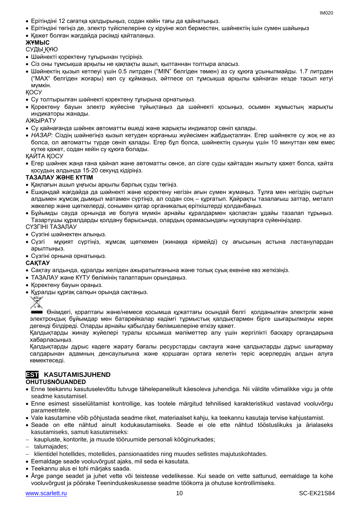- Ерітіндіні 12 сағатқа қалдырыңыз, содан кейін тағы да қайнатыңыз.
- Ерітіндіні төгіңіз де, электр түйіспелеріне су кіруіне жол берместен, шайнектің ішін сумен шайыңыз
- Қажет болған жағдайда рәсімді қайталаңыз.

#### **ЖҰМЫС**

#### СУДЫ ҚҰЮ

- Шәйнекті қоректену тұғырынан түсіріңіз.
- Сіз оны тұмсықша арқылы не қақпақты ашып, қылтаннан толтыра алаcыз.
- Шәйнектің қызып кетпеуі үшін 0.5 литрден ("MIN" белгіден төмен) аз су құюға ұсынылмайды. 1.7 литрден ("MAX" белгіден жоғары) көп су құймаңыз, әйтпесе ол тұмсықша арқылы қайнаған кезде тасып кетуі мүмкін.

ҚОСУ

- Су толтырылған шәйнекті қоректену тұғырына орнатыңыз.
- Қоректену бауын электр жүйесіне тұйықтаңыз да шәйнекті қосыңыз, осымен жұмыстың жарықты индикаторы жанады.

АЖЫРАТУ

- Су қайнағанда шәйнек автоматты өшеді және жарықты индикатор сөніп қалады.
- *НАЗАР:* Сіздің шәйнегіңіз қызып кетуден қорғаныш жүйесімен жабдықталған. Егер шәйнекте су жоқ не аз болса, ол автоматты түрде сөніп қалады. Егер бұл болса, шәйнектің суынуы үшін 10 минуттан кем емес күтке қажет, содан кейін су құюға болады.

ҚАЙТА ҚОСУ

 Егер шәйнек жаңа ғана қайнап және автоматты сөнсе, ал сізге суды қайтадан жылыту қажет болса, қайта қосудың алдында 15-20 секунд кідіріңіз.

#### **ТАЗАЛАУ ЖӘНЕ КҮТІМ**

- Қақпағын ашып ұңғысы арқылы барлық суды төгіңіз.
- Ешқандай жағдайда да шәйнекті және қоректену негізін ағын сумен жумаңыз. Тұлға мен негіздің сыртын алдымен жұмсақ дымқыл матамен сүртіңіз, ал содан соң – құрғатып. Қайрақты тазалағыш заттар, металл жөкелер және щөткелерді, сонымен қатар органикалық еріткіштерді қолданбаңыз.
- Бұйымды сауда орнында ие болуға мүмкін арнайы құралдармен қаспақтан ұдайы тазалап тұрыңыз. Тазартушы құралдарды қолдану барысында, олардың орамасындағы нұсқауларға сүйеніңіздер.

СҮЗГІНІ ТАЗАЛАУ

- Сүзгіні шәйнектен алыңыз.
- Сүзгі мұқият сүртіңіз, жұмсақ щөткемен (жинаққа кірмейді) су ағысының астына ластанулардан арылтыңыз.
- Сүзгіні орнына орнатыңыз.

**САҚТАУ**

- Cақтау алдында, құралды желіден ажыратылғанына және толық суық екеніне көз жеткізіңіз.
- ТАЗАЛАУ және КҮТУ бөлімінің талаптарын орындаңыз.
- Қоректену бауын ораңыз.
- Құралды құрғақ салқын орында сақтаңыз.



Өнімдегі, қораптағы және/немесе қосымша құжаттағы осындай белгі қолданылған электрлік және электрондық бұйымдар мен батарейкалар кәдімгі тұрмыстық қалдықтармен бірге шығарылмауы керек дегенді білдіреді. Оларды арнайы қабылдау бөлімшелеріне өткізу қажет.

Қалдықтарды жинау жүйелері туралы қосымша мәліметтер алу үшін жергілікті басқару органдарына хабарласыңыз.

Қалдықтарды дұрыс кәдеге жарату бағалы ресурстарды сақтауға және қалдықтарды дұрыс шығармау салдарынан адамның денсаулығына және қоршаған ортаға келетін теріс әсерлердің алдын алуға көмектеседі.

## **EST KASUTAMISJUHEND**

#### **OHUTUSNÕUANDED**

- Enne teekannu kasutuselevõttu tutvuge tähelepanelikult käesoleva juhendiga. Nii väldite võimalikke vigu ja ohte seadme kasutamisel.
- Enne esimest sisselülitamist kontrollige, kas tootele märgitud tehnilised karakteristikud vastavad vooluvõrgu parameetritele.
- Vale kasutamine võib põhjustada seadme riket, materiaalset kahju, ka teekannu kasutaja tervise kahjustamist.
- Seade on ette nähtud ainult kodukasutamiseks. Seade ei ole ette nähtud tööstuslikuks ja ärialaseks kasutamiseks, samuti kasutamiseks:
- kaupluste, kontorite, ja muude tööruumide personali kööginurkades;

talumajades;

- klientidel hotellides, motellides, pansionaatides ning muudes sellistes majutuskohtades.
- Eemaldage seade vooluvõrgust ajaks, mil seda ei kasutata.
- Teekannu alus ei tohi märjaks saada.
- Ärge pange seadet ja juhet vette või teistesse vedelikesse. Kui seade on vette sattunud, eemaldage ta kohe vooluvõrgust ja pöörake Teeninduskeskusesse seadme töökorra ja ohutuse kontrollimiseks.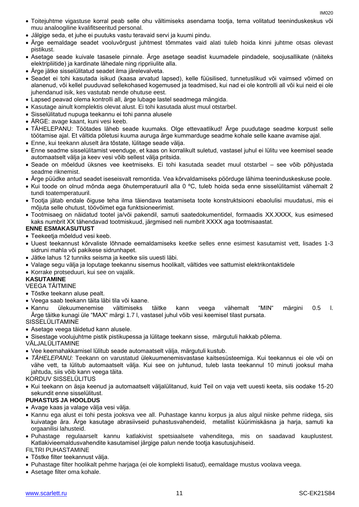- Toitejuhtme vigastuse korral peab selle ohu vältimiseks asendama tootja, tema volitatud teeninduskeskus või muu analoogiline kvalifitseeritud personal.
- Jälgige seda, et juhe ei puutuks vastu teravaid servi ja kuumi pindu.
- Ärge eemaldage seadet vooluvõrgust juhtmest tõmmates vaid alati tuleb hoida kinni juhtme otsas olevast pistikust.
- Asetage seade kuivale tasasele pinnale. Ärge asetage seadist kuumadele pindadele, soojusallikate (näiteks elektripliitide) ja kardinate lähedale ning rippriiulite alla.
- Ärge jätke sisselülitatud seadet ilma järelevalveta.
- Seadet ei tohi kasutada isikud (kaasa arvatud lapsed), kelle füüsilised, tunnetuslikud või vaimsed võimed on alanenud, või kellel puuduvad sellekohased kogemused ja teadmised, kui nad ei ole kontrolli all või kui neid ei ole juhendanud isik, kes vastutab nende ohutuse eest.
- Lapsed peavad olema kontrolli all, ärge lubage lastel seadmega mängida.
- Kasutage ainult komplektis olevat alust. Ei tohi kasutada alust muul otstarbel.
- Sisselülitatud nupuga teekannu ei tohi panna alusele
- ÄRGE: avage kaant, kuni vesi keeb.
- TÄHELEPANU: Töötades läheb seade kuumaks. Olge ettevaatlikud! Ärge puudutage seadme korpust selle töötamise ajal. Et vältida põletusi kuuma auruga ärge kummarduge seadme kohale selle kaane avamise ajal.
- Enne, kui teekann aluselt ära tõstate, lülitage seade välja.
- Enne seadme sisselülitamist veenduge, et kaas on korralikult suletud, vastasel juhul ei lülitu vee keemisel seade automaatselt välja ja keev vesi võib sellest välja pritsida.
- Seade on mõeldud üksnes vee keetmiseks. Ei tohi kasutada seadet muul otstarbel see võib põhjustada seadme riknemist.
- Ärge püüdke antud seadet iseseisvalt remontida. Vea kõrvaldamiseks pöörduge lähima teeninduskeskuse poole.
- Kui toode on olnud mõnda aega õhutemperatuuril alla 0 ºC, tuleb hoida seda enne sisselülitamist vähemalt 2 tundi toatemperatuuril.
- Tootja jätab endale õiguse teha ilma täiendava teatamiseta toote konstruktsiooni ebaolulisi muudatusi, mis ei mõjuta selle ohutust, töövõimet ega funktsioneerimist.
- Tootmisaeg on näidatud tootel ja/või pakendil, samuti saatedokumentidel, formaadis XX.XXXX, kus esimesed kaks numbrit XX tähendavad tootmiskuud, järgmised neli numbrit XXXX aga tootmisaastat.

#### **ENNE ESMAKASUTUST**

- Teekeetja mõeldud vesi keeb.
- Uuest teekannust kõrvaliste lõhnade eemaldamiseks keetke selles enne esimest kasutamist vett, lisades 1-3 sidruni mahla või pakikese sidrunhapet.
- Jätke lahus 12 tunniks seisma ja keetke siis uuesti läbi.
- Valage segu välja ja loputage teekannu sisemus hoolikalt, vältides vee sattumist elektrikontaktidele
- Korrake protseduuri, kui see on vajalik.

#### **KASUTAMINE**

VEEGA TÄITMINE

- Tõstke teekann aluse pealt.
- Veega saab teekann täita läbi tila või kaane.
- Kannu ülekuumenemise vältimiseks täitke kann veega vähemalt "MIN" märgini 0.5 l. Ärge täitke kunagi üle "MAX" märgi 1.7 l, vastasel juhul võib vesi keemisel tilast pursata.

SISSELÜLITAMINE

Asetage veega täidetud kann alusele.

Sisestage voolujuhtme pistik pistikupessa ja lülitage teekann sisse, märgutuli hakkab põlema.

VÄLJALÜLITAMINE

- Vee keemahakkamisel lülitub seade automaatselt välja, märgutuli kustub.
- *TÄHELEPANU:* Teekann on varustatud ülekuumenemisvastase kaitsesüsteemiga. Kui teekannus ei ole või on vähe vett, ta lülitub automaatselt välja. Kui see on juhtunud, tuleb lasta teekannul 10 minuti jooksul maha jahtuda, siis võib kann veega täita.

KORDUV SISSELÜLITUS

 Kui teekann on äsja keenud ja automaatselt väljalülitanud, kuid Teil on vaja vett uuesti keeta, siis oodake 15-20 sekundit enne sisselülitust.

#### **PUHASTUS JA HOOLDUS**

- Avage kaas ja valage välja vesi välja.
- Kannu ega alust ei tohi pesta jooksva vee all. Puhastage kannu korpus ja alus algul niiske pehme riidega, siis kuivatage ära. Ärge kasutage abrasiivseid puhastusvahendeid, metallist küürimiskäsna ja harja, samuti ka orgaanilisi lahusteid.
- Puhastage regulaarselt kannu katlakivist spetsiaalsete vahenditega, mis on saadavad kauplustest. Katlakivieemaldusvahendite kasutamisel järgige palun nende tootja kasutusjuhiseid.

FILTRI PUHASTAMINE

- Tõstke filter teekannust välja.
- Puhastage filter hoolikalt pehme harjaga (ei ole komplekti lisatud), eemaldage mustus voolava veega.
- Asetage filter oma kohale.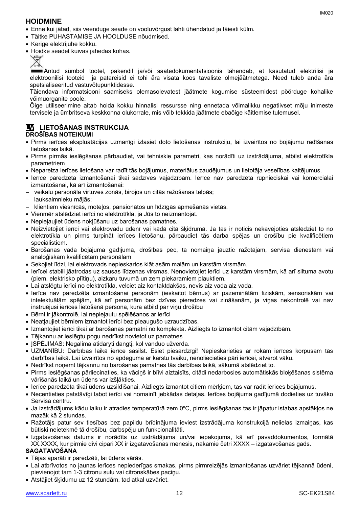#### **HOIDMINE**

- Enne kui jätad, siis veenduge seade on vooluvõrgust lahti ühendatud ja täiesti külm.
- Täitke PUHASTAMISE JA HOOLDUSE nõudmised.
- Kerige elektrijuhe kokku.
- Hoidke seadet kuivas jahedas kohas.



Antud sümbol tootel, pakendil ja/või saatedokumentatsioonis tähendab, et kasutatud elektrilisi ja elektroonilisi tooteid ja patareisid ei tohi ära visata koos tavaliste olmejäätmetega. Need tuleb anda ära spetsialiseeritud vastuvõtupunktidesse.

Täiendava informatsiooni saamiseks olemasolevatest jäätmete kogumise süsteemidest pöörduge kohalike võimuorganite poole.

Õige utiliseerimine aitab hoida kokku hinnalisi ressursse ning ennetada võimalikku negatiivset mõju inimeste tervisele ja ümbritseva keskkonna olukorrale, mis võib tekkida jäätmete ebaõige käitlemise tulemusel.

# **LV LIETOŠANAS INSTRUKCIJA**

#### **DROŠĪBAS NOTEIKUMI**

- Pirms ierīces ekspluatācijas uzmanīgi izlasiet doto lietošanas instrukciju, lai izvairītos no bojājumu radīšanas lietošanas laikā.
- Pirms pirmās ieslēgšanas pārbaudiet, vai tehniskie parametri, kas norādīti uz izstrādājuma, atbilst elektrotīkla parametriem
- Nepareiza ierīces lietošana var radīt tās bojājumus, materiālus zaudējumus un lietotāja veselības kaitējumus.
- Ierīce paredzēta izmantošanai tikai sadzīves vajadzībām. Ierīce nav paredzēta rūpnieciskai vai komerciālai izmantošanai, kā arī izmantošanai:
- veikalu personāla virtuves zonās, birojos un citās ražošanas telpās;
- lauksaimnieku mājās;
- klientiem viesnīcās, moteļos, pansionātos un līdzīgās apmešanās vietās.
- Vienmēr atslēdziet ierīci no elektrotīkla, ja Jūs to neizmantojat.
- Nepieļaujiet ūdens nokļūšanu uz barošanas pamatnes.
- Neizvietojiet ierīci vai elektrovadu ūdenī vai kādā citā šķidrumā. Ja tas ir noticis nekavējoties atslēdziet to no elektrotīkla un pirms turpināt ierīces lietošanu, pārbaudiet tās darba spējas un drošību pie kvalificētiem speciālistiem.
- Barošanas vada bojājuma gadījumā, drošības pēc, tā nomaiņa jāuztic ražotājam, servisa dienestam vai analoģiskam kvalificētam personālam
- Sekojiet līdzi, lai elektrovads nepieskartos klāt asām malām un karstām virsmām.
- Ierīcei stabili jāatrodas uz sausas līdzenas virsmas. Nenovietojiet ierīci uz karstām virsmām, kā arī siltuma avotu (piem. elektrisko plītiņu), aizkaru tuvumā un zem piekaramiem plauktiem.
- Lai atslēgtu ierīci no elektrotīkla, velciet aiz kontaktdakšas, nevis aiz vada aiz vada.
- Ierīce nav paredzēta izmantošanai personām (ieskaitot bērnus) ar pazeminātām fiziskām, sensoriskām vai intelektuālām spējām, kā arī personām bez dzīves pieredzes vai zināšanām, ja viņas nekontrolē vai nav instruējusi ierīces lietošanā persona, kura atbild par viņu drošību
- Bērni ir jākontrolē, lai nepieļautu spēlēšanos ar ierīci
- Neatļaujiet bērniem izmantot ierīci bez pieaugušo uzraudzības.
- Izmantojiet ierīci tikai ar barošanas pamatni no komplekta. Aizliegts to izmantot citām vajadzībām.
- Tējkannu ar ieslēgtu pogu nedrīkst novietot uz pamatnes
- JSPĖJIMAS: Negalima atidaryti dangtį, kol vanduo užverda.
- UZMANĪBU: Darbības laikā ierīce sasilst. Esiet piesardzīgi! Nepieskarieties ar rokām ierīces korpusam tās darbības laikā. Lai izvairītos no apdeguma ar karstu tvaiku, nenoliecieties pāri ierīcei, atverot vāku.
- Nedrīkst noņemt tējkannu no barošanas pamatnes tās darbības laikā, sākumā atslēdziet to.
- Pirms ieslēgšanas pārliecinaties, ka vāciņš ir blīvi aiztaisīts, citādi nedarbosies automātiskās bloķēšanas sistēma vārīšanās laikā un ūdens var izšļākties.
- Ierīce paredzēta tikai ūdens uzsildīšanai. Aizliegts izmantot citiem mērķiem, tas var radīt ierīces bojājumus.
- Necentieties patstāvīgi labot ierīci vai nomainīt jebkādas detaļas. Ierīces bojājuma gadījumā dodieties uz tuvāko Servisa centru.
- Ja izstrādājums kādu laiku ir atradies temperatūrā zem 0ºC, pirms ieslēgšanas tas ir jāpatur istabas apstākļos ne mazāk kā 2 stundas.
- Ražotājs patur sev tiesības bez papildu brīdinājuma ieviest izstrādājuma konstrukcijā nelielas izmaiņas, kas būtiski neietekmē tā drošību, darbspēju un funkcionalitāti.
- Izgatavošanas datums ir norādīts uz izstrādājuma un/vai iepakojuma, kā arī pavaddokumentos, formātā XX.XXXX, kur pirmie divi cipari XX ir izgatavošanas mēnesis, nākamie četri XXXX – izgatavošanas gads.

#### **SAGATAVOŠANA**

- Tējas aparāti ir paredzēti, lai ūdens vārās.
- Lai atbrīvotos no jaunas ierīces nepiederīgas smakas, pirms pirmreizējās izmantošanas uzvāriet tējkannā ūdeni, pievienojot tam 1-3 citronu sulu vai citronskābes paciņu.
- Atstājiet šķīdumu uz 12 stundām, tad atkal uzvāriet.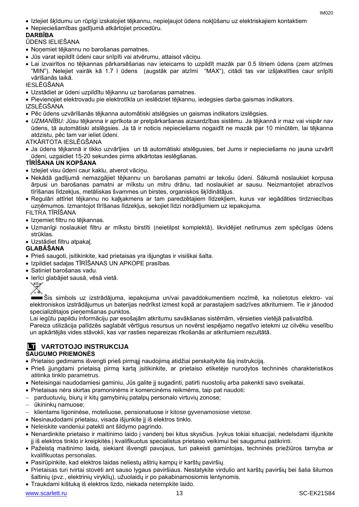- Izlejiet šķīdumu un rūpīgi izskalojiet tējkannu, nepieļaujot ūdens nokļūšanu uz elektriskajiem kontaktiem
- Nepieciešamības gadījumā atkārtojiet procedūru.

#### **DARBĪBA**

ŪDENS IELIEŠANA

- Noņemiet tējkannu no barošanas pamatnes.
- Jūs varat iepildīt ūdeni caur snīpīti vai atvērumu, attaisot vāciņu.
- Lai izvairītos no tējkannas pārkarsēšanas nav ieteicams to uzpildīt mazāk par 0.5 litriem ūdens (zem atzīmes "MIN"). Nelejiet vairāk kā 1.7 l ūdens (augstāk par atzīmi "MAX"), citādi tas var izšļakstīties caur snīpīti vārīšanās laikā.

IESLĒGŠANA

- Uzstādiet ar ūdeni uzpildītu tējkannu uz barošanas pamatnes.
- Pievienojiet elektrovadu pie elektrotīkla un ieslēdziet tējkannu, iedegsies darba gaismas indikators.

IZSLĒGŠANA

- Pēc ūdens uzvārīšanās tējkanna automātiski atslēgsies un gaismas indikators izslēgsies.
- *UZMANĪBU:* Jūsu tējkanna ir aprīkota ar pretpārkaršanas aizsardzības sistēmu. Ja tējkannā ir maz vai vispār nav ūdens, tā automātiski atslēgsies. Ja tā ir noticis nepieciešams nogaidīt ne mazāk par 10 minūtēm, lai tējkanna atdzistu, pēc tam var ieliet ūdeni.

ATKĀRTOTA IESLĒGŠANA

 Ja ūdens tējkannā ir tikko uzvārījies un tā automātiski atslēgusies, bet Jums ir nepieciešams no jauna uzvārīt ūdeni, uzgaidiet 15-20 sekundes pirms atkārtotas ieslēgšanas.

#### **TĪRĪŠANA UN KOPŠANA**

- Izlejiet visu ūdeni caur kaklu, atverot vāciņu.
- Nekādā gadījumā nemazgājiet tējkannu un barošanas pamatni ar tekošu ūdeni. Sākumā noslaukiet korpusa ārpusi un barošanas pamatni ar mīkstu un mitru drānu, tad noslaukiet ar sausu. Neizmantojiet abrazīvos tīrīšanas līdzekļus, metāliskas švammes un birstes, organiskos šķīdinātājus.
- Regulāri attīriet tējkannu no kaļķakmens ar tam paredzētajiem līdzekļiem, kurus var iegādāties tirdzniecības uzņēmumos. Izmantojot tīrīšanas līdzekļus, sekojiet līdzi norādījumiem uz iepakojuma.

#### FILTRA TĪRĪŠANA

- Izņemiet filtru no tējkannas.
- Uzmanīgi noslaukiet filtru ar mīkstu birstīti (neietilpst komplektā), likvidējiet netīrumus zem spēcīgas ūdens strūklas.
- Uzstādiet filtru atpakaļ.

#### **GLABĀŠANA**

- Prieš saugoti, įsitikinkite, kad prietaisas yra išjungtas ir visiškai šalta.
- Izpildiet sadaļas TĪRĪŠANAS UN APKOPE prasības.
- Satiniet barošanas vadu.
- Ierīci glabājiet sausā, vēsā vietā.



Šis simbols uz izstrādājuma, iepakojuma un/vai pavaddokumentiem nozīmē, ka nolietotus elektro- vai elektroniskos izstrādājumus un baterijas nedrīkst izmest kopā ar parastajiem sadzīves atkritumiem. Tie ir jānodod specializētajos pieņemšanas punktos.

Lai iegūtu papildu informāciju par esošajām atkritumu savākšanas sistēmām, vērsieties vietējā pašvaldībā.

Pareiza utilizācija palīdzēs saglabāt vērtīgus resursus un novērst iespējamo negatīvo ietekmi uz cilvēku veselību un apkārtējās vides stāvokli, kas var rasties nepareizas rīkošanās ar atkritumiem rezultātā.

#### **LT VARTOTOJO INSTRUKCIJA SAUGUMO PRIEMONĖS**

- Prietaiso gedimams išvengti prieš pirmąjį naudojimą atidžiai perskaitykite šią instrukciją.
- Prieš įjungdami prietaisą pirmą kartą įsitikinkite, ar prietaiso etiketėje nurodytos techninės charakteristikos atitinka tinklo parametrus.
- Neteisingai naudodamiesi gaminiu, Jūs galite jį sugadinti, patirti nuostolių arba pakenkti savo sveikatai.
- Prietaisas nėra skirtas pramoninėms ir komercinėms reikmėms, taip pat naudoti:
- parduotuvių, biurų ir kitų gamybinių patalpų personalo virtuvių zonose;
- ūkininkų namuose;
- klientams ligoninėse, moteliuose, pensionatuose ir kitose gyvenamosiose vietose.
- Nesinaudodami prietaisu, visada išjunkite jį iš elektros tinklo.
- Neleiskite vandeniui patekti ant šildymo pagrindo.
- Nenardinkite prietaiso ir maitinimo laido į vandenį bei kitus skysčius. Įvykus tokiai situacijai, nedelsdami išjunkite jį iš elektros tinklo ir kreipkitės į kvalifikuotus specialistus prietaiso veikimui bei saugumui patikrinti.
- Pažeistą maitinimo laidą, siekiant išvengti pavojaus, turi pakeisti gamintojas, techninės priežiūros tarnyba ar kvalifikuotas personalas.
- Pasirūpinkite, kad elektros laidas neliestų aštrių kampų ir karštų paviršių.
- Prietaisas turi tvirtai stovėti ant sauso lygaus paviršiaus. Nestatykite virdulio ant karštų paviršių bei šalia šilumos šaltinių (pvz., elektrinių viryklių), užuolaidų ir po pakabinamosiomis lentynomis.
- Traukdami kištuką iš elektros lizdo, niekada netempkite laido.

[www.scarlett.ru](http://www.scarlett.ru/) 13 November 2013 13 SC-EK21S84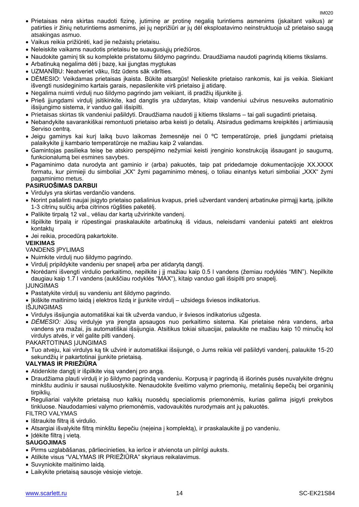- Prietaisas nėra skirtas naudoti fizinę, jutiminę ar protinę negalią turintiems asmenims (įskaitant vaikus) ar patirties ir žinių neturintiems asmenims, jei jų neprižiūri ar jų dėl eksploatavimo neinstruktuoja už prietaiso saugą atsakingas asmuo.
- Vaikus reikia prižiūrėti, kad jie nežaistų prietaisu.
- Neleiskite vaikams naudotis prietaisu be suaugusiųjų priežiūros.
- Naudokite gaminį tik su komplekte pristatomu šildymo pagrindu. Draudžiama naudoti pagrindą kitiems tikslams.
- Arbatinuką negalima dėti į bazę, kai įjungtas mygtukas
- UZMANĪBU: Neatveriet vāku, līdz ūdens sāk vārīties.
- DĖMESIO: Veikdamas prietaisas įkaista. Būkite atsargūs! Nelieskite prietaiso rankomis, kai jis veikia. Siekiant išvengti nusideginimo kartais garais, nepasilenkite virš prietaiso jį atidarę.
- Negalima nuimti virdulį nuo šildymo pagrindo jam veikiant, iš pradžių išjunkite jį.
- Prieš įjungdami virdulį įsitikinkite, kad dangtis yra uždarytas, kitaip vandeniui užvirus nesuveiks automatinio išsijungimo sistema, ir vanduo gali išsipilti.
- Prietaisas skirtas tik vandeniui pašildyti. Draudžiama naudoti jį kitiems tikslams tai gali sugadinti prietaisą.
- Nebandykite savarankiškai remontuoti prietaiso arba keisti jo detalių. Atsiradus gedimams kreipkitės į artimiausią Serviso centrą.
- Jeigu gaminys kai kurį laiką buvo laikomas žemesnėje nei 0 ºC temperatūroje, prieš įjungdami prietaisą palaikykite jį kambario temperatūroje ne mažiau kaip 2 valandas.
- Gamintojas pasilieka teisę be atskiro perspėjimo nežymiai keisti įrenginio konstrukciją išsaugant jo saugumą, funkcionalumą bei esmines savybes.
- Pagaminimo data nurodyta ant gaminio ir (arba) pakuotės, taip pat pridedamoje dokumentacijoje XX.XXXX formatu, kur pirmieji du simboliai "XX" žymi pagaminimo mėnesį, o toliau einantys keturi simboliai "XXX" žymi pagaminimo metus.

#### **PASIRUOŠIMAS DARBUI**

- Virdulys yra skirtas verdančio vandens.
- Norint pašalinti naujai įsigyto prietaiso pašalinius kvapus, prieš užverdant vandenį arbatinuke pirmąjį kartą, įpilkite 1-3 citrinų sulčių arba citrinos rūgšties paketėlį.
- Palikite tirpalą 12 val., vėliau dar kartą užvirinkite vandenį.
- Išpilkite tirpalą ir rūpestingai praskalaukite arbatinuką iš vidaus, neleisdami vandeniui patekti ant elektros kontaktų
- Jei reikia, procedūrą pakartokite.

#### **VEIKIMAS**

#### VANDENS ĮPYLIMAS

- Nuimkite virdulį nuo šildymo pagrindo.
- Virdulį pripildykite vandeniu per snapelį arba per atidarytą dangtį.
- Norėdami išvengti virdulio perkaitimo, nepilkite į jį mažiau kaip 0.5 l vandens (žemiau rodyklės "MIN"). Nepilkite daugiau kaip 1.7 l vandens (aukščiau rodyklės "MAX"), kitaip vanduo gali išsipilti pro snapelį. ĮJUNGIMAS
- Pastatykite virdulį su vandeniu ant šildymo pagrindo.
- Ikiškite maitinimo laidą į elektros lizdą ir įjunkite virdulį užsidegs šviesos indikatorius.

#### IŠJUNGIMAS

- Virdulys išsijungia automatiškai kai tik užverda vanduo, ir šviesos indikatorius užgesta.
- *DĖMESIO:* Jūsų virdulyje yra įrengta apsaugos nuo perkaitimo sistema. Kai prietaise nėra vandens, arba vandens yra mažai, jis automatiškai išsijungia. Atsitikus tokiai situacijai, palaukite ne mažiau kaip 10 minučių kol virdulys atvės, ir vėl galite pilti vandenį.

#### PAKARTOTINAS ĮJUNGIMAS

 Tuo atveju, kai virdulys ką tik užvirė ir automatiškai išsijungė, o Jums reikia vėl pašildyti vandenį, palaukite 15-20 sekundžių ir pakartotinai įjunkite prietaisą.

#### **VALYMAS IR PRIEŽIŪRA**

- Atidenkite dangtį ir išpilkite visą vandenį pro angą.
- Draudžiama plauti virdulį ir jo šildymo pagrindą vandeniu. Korpusą ir pagrindą iš išorinės pusės nuvalykite drėgnu minkštu audiniu ir sausai nušluostykite. Nenaudokite šveitimo valymo priemonių, metalinių šepečių bei organinių tirpiklių.
- Reguliariai valykite prietaisą nuo kalkių nuosėdų specialiomis priemonėmis, kurias galima įsigyti prekybos tinkluose. Naudodamiesi valymo priemonėmis, vadovaukitės nurodymais ant jų pakuotės.
- FILTRO VALYMAS
- Ištraukite filtra iš virdulio.
- Atsargiai išvalykite filtrą minkštu šepečiu (neįeina į komplektą), ir praskalaukite jį po vandeniu.
- Idėkite filtrą į vietą.

#### **SAUGOJIMAS**

- Pirms uzglabāšanas, pārliecinieties, ka ierīce ir atvienota un pilnīgi auksts.
- Atilkite visus "VALYMAS IR PRIEŽIŪRA" skyriaus reikalavimus.
- Suvyniokite maitinimo laidą.
- Laikykite prietaisą sausoje vėsioje vietoje.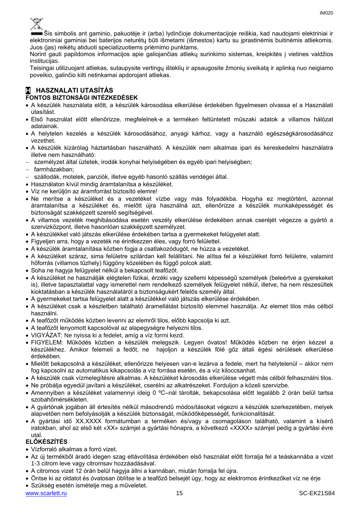

Šis simbolis ant gaminio, pakuotėje ir (arba) lydinčioje dokumentacijoje reiškia, kad naudojami elektriniai ir elektroniniai gaminiai bei baterijos neturėtų būti išmetami (išmestos) kartu su įprastinėmis buitinėmis atliekomis. Juos (jas) reikėtų atiduoti specializuotiems priėmimo punktams.

Norint gauti papildomos informacijos apie galiojančias atliekų surinkimo sistemas, kreipkitės į vietines valdžios institucijas.

Teisingai utilizuojant atliekas, sutaupysite vertingų išteklių ir apsaugosite žmonių sveikatą ir aplinką nuo neigiamo poveikio, galinčio kilti netinkamai apdorojant atliekas.

#### **H HASZNALATI UTASÍTÁS FONTOS BIZTONSÁGI INTÉZKEDÉSEK**

- A készülék használata előtt, a készülék károsodása elkerülése érdekében figyelmesen olvassa el a Használati utasítást.
- Első használat előtt ellenőrizze, megfelelnek-e a terméken feltüntetett műszaki adatok a villamos hálózat adatainak.
- A helytelen kezelés a készülék károsodásához, anyagi kárhoz, vagy a használó egészségkárosodásához vezethet.
- A készülék kizárólag háztartásban használható. A készülék nem alkalmas ipari és kereskedelmi használatra illetve nem használható:
- személyzet által üzletek, irodák konyhai helyiségében és egyéb ipari helyiségben;
- farmházakban;
- szállodák, motelek, panziók, illetve egyéb hasonló szállás vendégei által.
- Használaton kívül mindig áramtalanítsa a készüléket.
- Víz ne kerüljön az áramforrást biztosító elemre!
- Ne merítse a készüléket és a vezetéket vízbe vagy más folyadékba. Hogyha ez megtörtént, azonnal áramtalanítsa a készüléket és, mielőtt újra használná azt, ellenőrizze a készülék munkaképességét és biztonságát szakképzett szerelő segítségével.
- A villamos vezeték meghibásodása esetén veszély elkerülése érdekében annak cseréjét végezze a gyártó a szervizközpont, illetve hasonlóan szakképzett személyzet.
- A készülékkel való játszás elkerülése érdekében tartsa a gyermekeket felügyelet alatt.
- Figyeljen arra, hogy a vezeték ne érintkezzen éles, vagy forró felülettel.
- A készülék áramtalanítása közben fogja a csatlakozódugót, ne húzza a vezetéket.
- A készüléket száraz, sima felületre szilárdan kell felállítani. Ne alítsa fel a készüléket forró felületre, valamint hőforrás (villamos tűzhely) függöny közelében és függő polcok alatt.
- Soha ne hagyja felügyelet nélkül a bekapcsolt teafőzőt.
- A készüléket ne használják elégtelen fizikai, érzéki vagy szellemi képességű személyek (beleértve a gyerekeket is), illetve tapasztalattal vagy ismerettel nem rendelkező személyek felügyelet nélkül, illetve, ha nem részesültek kioktatásban a készülék használatáról a biztonságukért felelős személy által.
- A gyermekeket tartsa felügyelet alatt a készülékkel való játszás elkerülése érdekében.
- A készüléket csak a készletben található áramellátást biztosító elemmel használja. Az elemet tilos más célból használni.
- A teafőzőt működés közben levenni az elemről tilos, előbb kapcsolja ki azt.
- A teafőzőt lenyomott kapcsolóval az alapegységre helyezni tilos.
- VIGYÁZAT: Ne nyissa ki a fedelet, amíg a víz forrni kezd.
- FIGYELEM: Működés közben a készülék melegszik. Legyen óvatos! Működés közben ne érjen kézzel a készülékhez. Amikor felemeli a fedőt, ne hajoljon a készülék fölé gőz általi égési sérülések elkerülése érdekében.
- Mielőtt bekapcsolná a készüléket, ellenőrizze helyesen van-e lezárva a fedele, mert ha helytelenül akkor nem fog kapcsolni az automatikus kikapcsolás a víz forrása esetén, és a víz kiloccsanhat.
- A készülék csak vízmelegítésre alkalmas. A készüléket károsodás elkerülése végett más célból felhasználni tilos.
- Ne próbálja egyedül javítani a készüléket, cserélni az alkatrészeket. Forduljon a közeli szervizbe.
- Amennyiben a készüléket valamennyi ideig 0 ºC–nál tárolták, bekapcsolása előtt legalább 2 órán belül tartsa szobahőmérsékleten.
- A gyártónak jogában áll értesítés nélkül másodrendű módosításokat végezni a készülék szerkezetében, melyek alapvetően nem befolyásolják a készülék biztonságát, működőképességét, funkcionalitását.
- A gyártási idő XX.XXXX formátumban a terméken és/vagy a csomagoláson található, valamint a kísérő iratokban, ahol az első két «XX» számjel a gyártási hónapra, a következő «XXXX» számjel pedig a gyártási évre utal.

#### **ELŐKÉSZÍTÉS**

- Vízforraló alkalmas a forró vizet.
- Az új termékből áradó idegen szag eltávolítása érdekében első használat előtt forralja fel a teáskannába a vizet 1-3 citrom leve vagy citromsav hozzáadásával.
- A citromos vizet 12 órán belül hagyja állni a kannában, miután forralja fel újra.
- Öntse ki az oldatot és óvatosan öblítse le a teafőző belsejét úgy, hogy az elektromos érintkezőket víz ne érje
- Szükség esetén ismételje meg a műveletet.

[www.scarlett.ru](http://www.scarlett.ru/) 15 November 2012 15 November 2013 15 November 2013 15 November 2014 15 November 2014 15 November 2014 15 November 2014 15 November 2014 15 November 2014 15 November 2014 15 November 2014 16: 10: 10: 10: 10: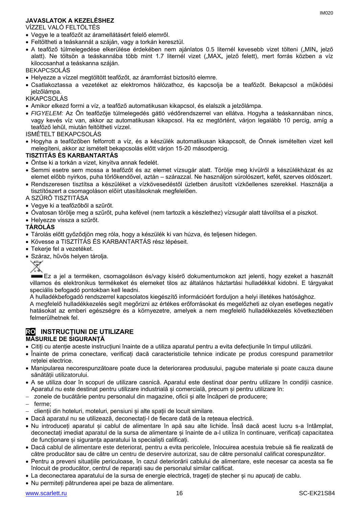#### **JAVASLATOK A KEZELÉSHEZ**

VÍZZEL VALÓ FELTÖLTÉS

- Vegye le a teafőzőt az áramellátásért felelő elemről.
- Feltöltheti a teáskannát a száján, vagy a torkán keresztül.
- A teafőző túlmelegedése elkerülése érdekében nem ajánlatos 0.5 liternél kevesebb vizet tölteni ("MIN" jelző alatt). Ne töltsön a teáskannába több mint 1.7 liternél vizet ("MAX" jelző felett), mert forrás közben a víz kiloccsanhat a teáskanna száján.

BEKAPCSOLÁS

- Helyezze a vízzel megtöltött teafőzőt, az áramforrást biztosító elemre.
- Csatlakoztassa a vezetéket az elektromos hálózathoz, és kapcsolja be a teafőzőt. Bekapcsol a működési jelzőlámpa.

#### **KIKAPCSOLÁS**

- Amikor elkezd forrni a víz, a teafőző automatikusan kikapcsol, és elalszik a jelzőlámpa.
- *FIGYELEM:* Az Ön teafőzője túlmelegedés gátló védőrendszerrel van ellátva. Hogyha a teáskannában nincs, vagy kevés víz van, akkor az automatikusan kikapcsol. Ha ez megtörtént, várjon legalább 10 percig, amíg a teafőző lehűl, miután feltöltheti vízzel.

ISMÉTELT BEKAPCSOLÁS

 Hogyha a teafőzőben felforrott a víz, és a készülék automatikusan kikapcsolt, de Önnek ismételten vizet kell melegíteni, akkor az ismételt bekapcsolás előtt várjon 15-20 másodpercig.

#### **TISZTITÁS ÉS KARBANTARTÁS**

- Öntse ki a torkán a vizet, kinyitva annak fedelét.
- Semmi esetre sem mossa a teafőzőt és az elemet vízsugár alatt. Törölje meg kívülről a készülékházat és az elemet előbb nyirkos, puha törlőkendővel, aztán – szárazzal. Ne használjon súrolószert, kefét, szerves oldószert.
- Rendszeresen tisztítsa a készüléket a vízkövesedéstől üzletben árusított vízkőellenes szerekkel. Használja a tisztítószert a csomagoláson előírt utasításoknak megfelelően.

A SZŰRŐ TISZTITÁSA

- Vegye ki a teafőzőből a szűrőt.
- Óvatosan törölje meg a szűrőt, puha kefével (nem tartozik a készlethez) vízsugár alatt távolítsa el a piszkot.
- Helyezze vissza a szűrőt.

#### **TÁROLÁS**

- Tárolás előtt győződjön meg róla, hogy a készülék ki van húzva, és teljesen hidegen.
- Kövesse a TISZTÍTÁS ÉS KARBANTARTÁS rész lépéseit.
- Tekerje fel a vezetéket.
- Száraz, hűvös helyen tárolja.



Ez a jel a terméken, csomagoláson és/vagy kísérő dokumentumokon azt jelenti, hogy ezeket a használt villamos és elektronikus termékeket és elemeket tilos az általános háztartási hulladékkal kidobni. E tárgyakat speciális befogadó pontokban kell leadni.

A hulladékbefogadó rendszerrel kapcsolatos kiegészítő információért forduljon a helyi illetékes hatósághoz.

A megfelelő hulladékkezelés segít megőrizni az értékes erőforrásokat és megelőzheti az olyan esetleges negatív hatásokat az emberi egészségre és a környezetre, amelyek a nem megfelelő hulladékkezelés következtében felmerülhetnek fel.

### **RO INSTRUCȚIUNI DE UTILIZARE**

#### **MĂSURILE DE SIGURANȚĂ**

- Citiți cu atenție aceste instrucțiuni înainte de a utiliza aparatul pentru a evita defecțiunile în timpul utilizării.
- Înainte de prima conectare, verificați dacă caracteristicile tehnice indicate pe produs corespund parametrilor rețelei electrice.
- Manipularea necorespunzătoare poate duce la deteriorarea produsului, pagube materiale și poate cauza daune sănătății utilizatorului.
- A se utiliza doar în scopuri de utilizare casnică. Aparatul este destinat doar pentru utilizare în condiții casnice. Aparatul nu este destinat pentru utilizare industrială și comercială, precum și pentru utilizare în:
- zonele de bucătărie pentru personalul din magazine, oficii și alte încăperi de producere;
- ferme;
- clienții din hoteluri, moteluri, pensiuni și alte spații de locuit similare.
- Dacă aparatul nu se utilizează, deconectați-l de fiecare dată de la rețeaua electrică.
- Nu introduceți aparatul și cablul de alimentare în apă sau alte lichide. Însă dacă acest lucru s-a întâmplat, deconectați imediat aparatul de la sursa de alimentare și înainte de a-l utiliza în continuare, verificați capacitatea de functionare și siguranța aparatului la specialiști calificați.
- Dacă cablul de alimentare este deteriorat, pentru a evita pericolele, înlocuirea acestuia trebuie să fie realizată de către producător sau de către un centru de deservire autorizat, sau de către personalul calificat corespunzător.
- Pentru a preveni situațiile periculoase, în cazul deteriorării cablului de alimentare, este necesar ca acesta sa fie înlocuit de producător, centrul de reparații sau de personalul similar calificat.
- La deconectarea aparatului de la sursa de energie electrică, trageți de ștecher și nu apucați de cablu.
- Nu permiteți pătrunderea apei pe baza de alimentare.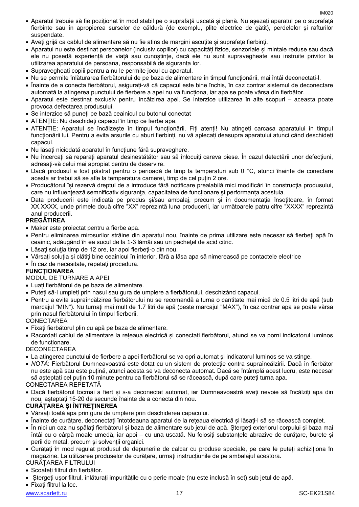- Aparatul trebuie să fie poziționat în mod stabil pe o suprafață uscată și plană. Nu așezați aparatul pe o suprafață fierbinte sau în apropierea surselor de căldură (de exemplu, plite electrice de gătit), perdelelor și rafturilor suspendate.
- Aveți grijă ca cablul de alimentare să nu fie atins de margini ascuțite și suprafețe fierbinți.
- Aparatul nu este destinat persoanelor (inclusiv copiilor) cu capacități fizice, senzoriale și mintale reduse sau dacă ele nu posedă experiență de viață sau cunoștințe, dacă ele nu sunt supravegheate sau instruite privitor la utilizarea aparatului de persoana, responsabilă de siguranța lor.
- Supravegheați copiii pentru a nu le permite jocul cu aparatul.
- Nu se permite înlăturarea fierbătorului de pe baza de alimentare în timpul funcționării, mai întâi deconectați-l.
- Înainte de a conecta fierbătorul, asigurați-vă că capacul este bine închis, în caz contrar sistemul de deconectare automată la atingerea punctului de fierbere a apei nu va funcționa, iar apa se poate vărsa din fierbător.
- Aparatul este destinat exclusiv pentru încălzirea apei. Se interzice utilizarea în alte scopuri aceasta poate provoca defectarea produsului.
- Se interzice să puneți pe bază ceainicul cu butonul conectat
- ATENȚIE: Nu deschideți capacul în timp ce fierbe apa.
- ATENȚIE: Aparatul se încălzește în timpul funcționării. Fiți atenți! Nu atingeți carcasa aparatului în timpul funcționării lui. Pentru a evita arsurile cu aburi fierbinți, nu vă aplecați deasupra aparatului atunci când deschideți capacul.
- Nu lăsați niciodată aparatul în funcțiune fără supraveghere.
- Nu încercați să reparați aparatul desinestătător sau să înlocuiți careva piese. În cazul detectării unor defecțiuni, adresați-vă celui mai apropiat centru de deservire.
- Dacă produsul a fost păstrat pentru o perioadă de timp la temperaturi sub 0 °C, atunci înainte de conectare acesta ar trebui să se afle la temperatura camerei, timp de cel puțin 2 ore.
- Producătorul își rezervă dreptul de a introduce fără notificare prealabilă mici modificări în construcţia produsului, care nu influențează semnificativ siguranța, capacitatea de funcționare și performanța acestuia.
- Data producerii este indicată pe produs și/sau ambalaj, precum și în documentația însoțitoare, în format XX.XXXX, unde primele două cifre "XX" reprezintă luna producerii, iar următoarele patru cifre "XXXX" reprezintă anul producerii.

#### **PREGĂTIREA**

- Maker este proiectat pentru a fierbe apa.
- Pentru eliminarea mirosurilor străine din aparatul nou, înainte de prima utilizare este necesar să fierbeţi apă în ceainic, adăugând în ea sucul de la 1-3 lămâi sau un pacheţel de acid citric.
- Lăsați soluția timp de 12 ore, iar apoi fierbeți-o din nou.
- Vărsați soluția și clătiți bine ceainicul în interior, fără a lăsa apa să nimerească pe contactele electrice
- În caz de necesitate, repetați procedura.

### **FUNCȚIONAREA**

#### MODUL DE TURNARE A APEI

- Luați fierbătorul de pe baza de alimentare.
- Puteți să-l umpleți prin nasul sau gura de umplere a fierbătorului, deschizând capacul.
- Pentru a evita supraîncălzirea fierbătorului nu se recomandă a turna o cantitate mai mică de 0.5 litri de apă (sub marcajul "MIN"). Nu turnați mai mult de 1.7 litri de apă (peste marcajul "MAX"), în caz contrar apa se poate vărsa prin nasul fierbătorului în timpul fierberii.

#### **CONECTAREA**

- Fixați fierbătorul plin cu apă pe baza de alimentare.
- Racordați cablul de alimentare la rețeaua electrică și conectați fierbătorul, atunci se va porni indicatorul luminos de funcționare.

DECONECTAREA

- La atingerea punctului de fierbere a apei fierbătorul se va opri automat și indicatorul luminos se va stinge.
- *NOTĂ*: Fierbătorul Dumneavoastră este dotat cu un sistem de protecție contra supraîncălzirii. Dacă în fierbător nu este apă sau este puțină, atunci acesta se va deconecta automat. Dacă se întâmplă acest lucru, este necesar să așteptați cel puțin 10 minute pentru ca fierbătorul să se răcească, după care puteți turna apa.

### CONECTAREA REPETATĂ

 Dacă fierbătorul tocmai a fiert și s-a deconectat automat, iar Dumneavoastră aveți nevoie să încălziți apa din nou, așteptați 15-20 de secunde înainte de a conecta din nou.

### **CURĂȚAREA ȘI ÎNTREȚINEREA**

- Vărsați toată apa prin gura de umplere prin deschiderea capacului.
- Înainte de curățare, deconectați întotdeauna aparatul de la rețeaua electrică și lăsați-l să se răcească complet.
- În nici un caz nu spălați fierbătorul și baza de alimentare sub jetul de apă. Ștergeți exteriorul corpului și baza mai întâi cu o cârpă moale umedă, iar apoi – cu una uscată. Nu folosiți substanțele abrazive de curățare, burete și perii de metal, precum și solvenții organici.
- Curățați în mod regulat produsul de depunerile de calcar cu produse speciale, pe care le puteți achiziționa în magazine. La utilizarea produselor de curățare, urmați instrucțiunile de pe ambalajul acestora.

CURĂȚAREA FILTRULUI

- Scoateți filtrul din fierbător.
- Ștergeți ușor filtrul, înlăturați impuritățile cu o perie moale (nu este inclusă în set) sub jetul de apă.

Fixați filtrul la loc.

[www.scarlett.ru](http://www.scarlett.ru/) 17 SC-EK21S84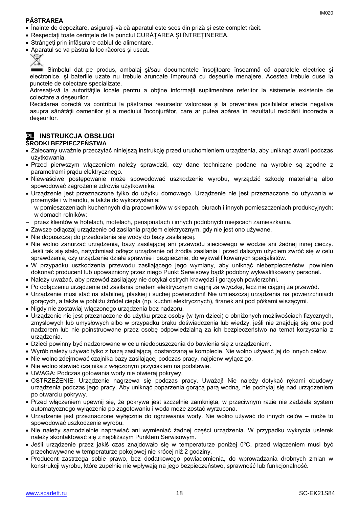#### **PĂSTRAREA**

- Înainte de depozitare, asigurați-vă că aparatul este scos din priză și este complet răcit.
- Respectați toate cerințele de la punctul CURĂȚAREA ȘI ÎNTREȚINEREA.
- Strângeți prin înfășurare cablul de alimentare.
- Aparatul se va păstra la loc răcoros și uscat.



Simbolul dat pe produs, ambalaj și/sau documentele însoțitoare înseamnă că aparatele electrice si electronice, şi bateriile uzate nu trebuie aruncate împreună cu deşeurile menajere. Acestea trebuie duse la punctele de colectare specializate.

Adresati-vă la autoritățile locale pentru a obține informații suplimentare referitor la sistemele existente de colectare a deşeurilor.

Reciclarea corectă va contribui la păstrarea resurselor valoroase şi la prevenirea posibilelor efecte negative asupra sănătății oamenilor și a mediului înconjurător, care ar putea apărea în rezultatul reciclării incorecte a deşeurilor.

#### **PL INSTRUKCJA OBSŁUGI ŚRODKI BEZPIECZEŃSTWA**

- Zalecamy uważnie przeczytać niniejszą instrukcję przed uruchomieniem urządzenia, aby uniknąć awarii podczas użytkowania.
- Przed pierwszym włączeniem należy sprawdzić, czy dane techniczne podane na wyrobie są zgodne z parametrami prądu elektrycznego.
- Niewłaściwe postępowanie może spowodować uszkodzenie wyrobu, wyrządzić szkodę materialną albo spowodować zagrożenie zdrowia użytkownika.
- Urządzenie jest przeznaczone tylko do użytku domowego. Urządzenie nie jest przeznaczone do używania w przemyśle i w handlu, a także do wykorzystania:
- w pomieszczeniach kuchennych dla pracowników w sklepach, biurach i innych pomieszczeniach produkcyjnych;
- w domach rolników;
- przez klientów w hotelach, motelach, pensjonatach i innych podobnych miejscach zamieszkania.
- Zawsze odłączaj urządzenie od zasilania prądem elektrycznym, gdy nie jest ono używane.
- Nie dopuszczaj do przedostania się wody do bazy zasilającej.
- Nie wolno zanurzać urządzenia, bazy zasilającej ani przewodu sieciowego w wodzie ani żadnej innej cieczy. Jeśli tak się stało, natychmiast odłącz urządzenie od źródła zasilania i przed dalszym użyciem zwróć się w celu sprawdzenia, czy urządzenie działa sprawnie i bezpiecznie, do wykwalifikowanych specjalistów.
- W przypadku uszkodzenia przewodu zasilającego jego wymiany, aby uniknąć niebezpieczeństw, powinien dokonać producent lub upoważniony przez niego Punkt Serwisowy bądź podobny wykwalifikowany personel.
- Należy uważać, aby przewód zasilający nie dotykał ostrych krawędzi i gorących powierzchni.
- Po odłączeniu urządzenia od zasilania prądem elektrycznym ciągnij za wtyczkę, lecz nie ciągnij za przewód.
- Urządzenie musi stać na stabilnej, płaskiej i suchej powierzchni! Nie umieszczaj urządzenia na powierzchniach gorących, a także w pobliżu źródeł ciepła (np. kuchni elektrycznych), firanek ani pod półkami wiszącymi.
- Nigdy nie zostawiaj włączonego urządzenia bez nadzoru.
- Urządzenie nie jest przeznaczone do użytku przez osoby (w tym dzieci) o obniżonych możliwościach fizycznych, zmysłowych lub umysłowych albo w przypadku braku doświadczenia lub wiedzy, jeśli nie znajdują się one pod nadzorem lub nie poinstruowane przez osobę odpowiedzialną za ich bezpieczeństwo na temat korzystania z urządzenia.
- Dzieci powinny być nadzorowane w celu niedopuszczenia do bawienia się z urządzeniem.
- Wyrób należy używać tylko z bazą zasilającą, dostarczaną w komplecie. Nie wolno używać jej do innych celów.
- Nie wolno zdejmować czajnika bazy zasilającej podczas pracy, najpierw wyłącz go.
- Nie wolno stawiać czajnika z włączonym przyciskiem na podstawie.
- UWAGA: Podczas gotowania wody nie otwieraj pokrywy.
- OSTRZEŻENIE: Urządzenie nagrzewa się podczas pracy. Uważaj! Nie należy dotykać rękami obudowy urządzenia podczas jego pracy. Aby uniknąć poparzenia gorącą parą wodną, nie pochylaj się nad urządzeniem po otwarciu pokrywy.
- Przed włączeniem upewnij się, że pokrywa jest szczelnie zamknięta, w przeciwnym razie nie zadziała system automatycznego wyłączenia po zagotowaniu i woda może zostać wyrzucona.
- Urządzenie jest przeznaczone wyłącznie do ogrzewania wody. Nie wolno używać do innych celów może to spowodować uszkodzenie wyrobu.
- Nie należy samodzielnie naprawiać ani wymieniać żadnej części urządzenia. W przypadku wykrycia usterek należy skontaktować się z najbliższym Punktem Serwisowym.
- Jeśli urządzenie przez jakiś czas znajdowało się w temperaturze poniżej 0ºC, przed włączeniem musi być przechowywane w temperaturze pokojowej nie krócej niż 2 godziny.
- Producent zastrzega sobie prawo, bez dodatkowego powiadomienia, do wprowadzania drobnych zmian w konstrukcji wyrobu, które zupełnie nie wpływają na jego bezpieczeństwo, sprawność lub funkcjonalność.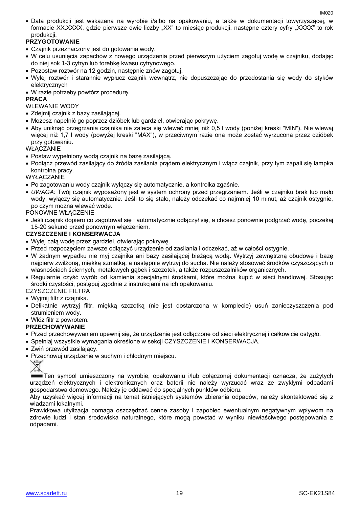Data produkcji jest wskazana na wyrobie i/albo na opakowaniu, a także w dokumentacji towyrzyszącej, w formacie XX.XXXX, gdzie pierwsze dwie liczby "XX" to miesiąc produkcji, następne cztery cyfry "XXXX" to rok produkcji.

#### **PRZYGOTOWANIE**

- Czajnik przeznaczony jest do gotowania wody.
- W celu usunięcia zapachów z nowego urządzenia przed pierwszym użyciem zagotuj wodę w czajniku, dodając do niej sok 1-3 cytryn lub torebkę kwasu cytrynowego.
- Pozostaw roztwór na 12 godzin, następnie znów zagotuj.
- Wylej roztwór i starannie wypłucz czajnik wewnątrz, nie dopuszczając do przedostania się wody do styków elektrycznych
- W razie potrzeby powtórz procedurę.

#### **PRACA**

WLEWANIE WODY

- Zdejmij czajnik z bazy zasilającej.
- Możesz napełnić go poprzez dzióbek lub gardziel, otwierając pokrywę.
- Aby uniknąć przegrzania czajnika nie zaleca się wlewać mniej niż 0,5 l wody (poniżej kreski "MIN"). Nie wlewaj więcej niż 1,7 l wody (powyżej kreski "MAX"), w przeciwnym razie ona może zostać wyrzucona przez dzióbek przy gotowaniu.

**WŁACZANIE** 

- Postaw wypełniony wodą czajnik na bazę zasilającą.
- Podłącz przewód zasilający do źródła zasilania prądem elektrycznym i włącz czajnik, przy tym zapali się lampka kontrolna pracy.

WYŁACZANIE

- Po zagotowaniu wody czajnik wyłączy się automatycznie, a kontrolka zgaśnie.
- *UWAGA:* Twój czajnik wyposażony jest w system ochrony przed przegrzaniem. Jeśli w czajniku brak lub mało wody, wyłączy się automatycznie. Jeśli to się stało, należy odczekać co najmniej 10 minut, aż czajnik ostygnie, po czym można wlewać wodę.

PONOWNE WŁĄCZENIE

 Jeśli czajnik dopiero co zagotował się i automatycznie odłączył się, a chcesz ponownie podgrzać wodę, poczekaj 15-20 sekund przed ponownym włączeniem.

#### **CZYSZCZENIE I KONSERWACJA**

- Wylej całą wodę przez gardziel, otwierając pokrywę.
- Przed rozpoczęciem zawsze odłączyć urządzenie od zasilania i odczekać, aż w całości ostygnie.
- W żadnym wypadku nie myj czajnika ani bazy zasilającej bieżącą wodą. Wytrzyj zewnętrzną obudowę i bazę najpierw zwilżoną, miękką szmatką, a następnie wytrzyj do sucha. Nie należy stosować środków czyszczących o własnościach ściernych, metalowych gąbek i szczotek, a także rozpuszczalników organicznych.
- Regularnie czyść wyrób od kamienia specjalnymi środkami, które można kupić w sieci handlowej. Stosując środki czystości, postępuj zgodnie z instrukcjami na ich opakowaniu.

#### CZYSZCZENIE FILTRA

- Wyjmij filtr z czajnika.
- Delikatnie wytrzyj filtr, miękką szczotką (nie jest dostarczona w komplecie) usuń zanieczyszczenia pod strumieniem wody.
- Włóż filtr z powrotem.

#### **PRZECHOWYWANIE**

- Przed przechowywaniem upewnij się, że urządzenie jest odłączone od sieci elektrycznej i całkowicie ostygło.
- Spełniaj wszystkie wymagania określone w sekcji CZYSZCZENIE I KONSERWACJA.
- Zwiń przewód zasilający.
- Przechowuj urządzenie w suchym i chłodnym miejscu.



Ten symbol umieszczony na wyrobie, opakowaniu i/lub dołączonej dokumentacji oznacza, że zużytych urządzeń elektrycznych i elektronicznych oraz baterii nie należy wyrzucać wraz ze zwykłymi odpadami gospodarstwa domowego. Należy je oddawać do specjalnych punktów odbioru.

Aby uzyskać więcej informacji na temat istniejących systemów zbierania odpadów, należy skontaktować się z władzami lokalnymi.

Prawidłowa utylizacja pomaga oszczędzać cenne zasoby i zapobiec ewentualnym negatywnym wpływom na zdrowie ludzi i stan środowiska naturalnego, które mogą powstać w wyniku niewłaściwego postępowania z odpadami.